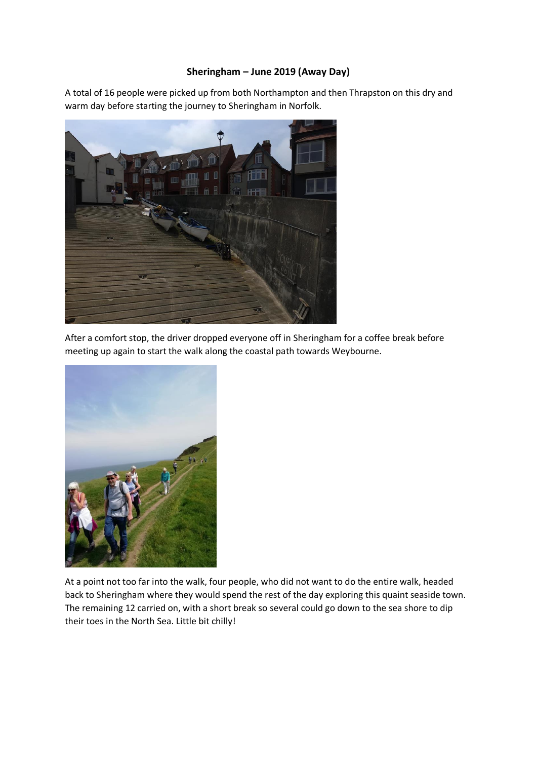## **Sheringham – June 2019 (Away Day)**

A total of 16 people were picked up from both Northampton and then Thrapston on this dry and warm day before starting the journey to Sheringham in Norfolk.



After a comfort stop, the driver dropped everyone off in Sheringham for a coffee break before meeting up again to start the walk along the coastal path towards Weybourne.



At a point not too far into the walk, four people, who did not want to do the entire walk, headed back to Sheringham where they would spend the rest of the day exploring this quaint seaside town. The remaining 12 carried on, with a short break so several could go down to the sea shore to dip their toes in the North Sea. Little bit chilly!